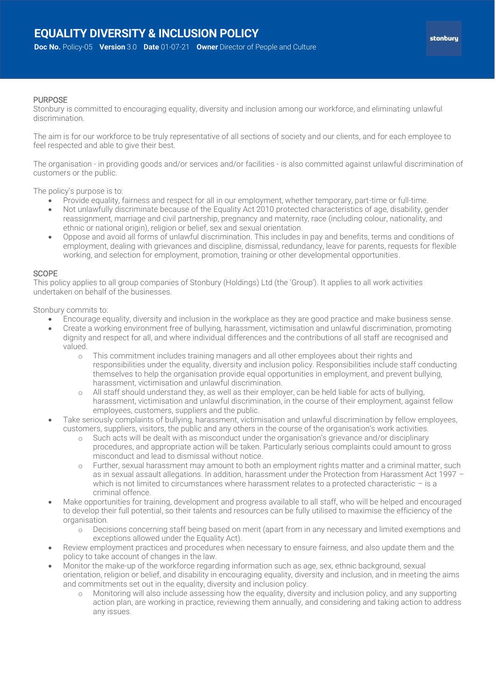## PURPOSE

Stonbury is committed to encouraging equality, diversity and inclusion among our workforce, and eliminating unlawful discrimination.

The aim is for our workforce to be truly representative of all sections of society and our clients, and for each employee to feel respected and able to give their best.

The organisation - in providing goods and/or services and/or facilities - is also committed against unlawful discrimination of customers or the public.

The policy's purpose is to:

- Provide equality, fairness and respect for all in our employment, whether temporary, part-time or full-time.
- Not unlawfully discriminate because of the Equality Act 2010 protected characteristics of age, disability, gender reassignment, marriage and civil partnership, pregnancy and maternity, race (including colour, nationality, and ethnic or national origin), religion or belief, sex and sexual orientation.
- Oppose and avoid all forms of unlawful discrimination. This includes in pay and benefits, terms and conditions of employment, dealing with grievances and discipline, dismissal, redundancy, leave for parents, requests for flexible working, and selection for employment, promotion, training or other developmental opportunities.

## **SCOPE**

This policy applies to all group companies of Stonbury (Holdings) Ltd (the 'Group'). It applies to all work activities undertaken on behalf of the businesses.

Stonbury commits to:

- Encourage equality, diversity and inclusion in the workplace as they are good practice and make business sense.
- Create a working environment free of bullying, harassment, victimisation and unlawful discrimination, promoting dignity and respect for all, and where individual differences and the contributions of all staff are recognised and valued.
	- o This commitment includes training managers and all other employees about their rights and responsibilities under the equality, diversity and inclusion policy. Responsibilities include staff conducting themselves to help the organisation provide equal opportunities in employment, and prevent bullying, harassment, victimisation and unlawful discrimination.
	- o All staff should understand they, as well as their employer, can be held liable for acts of bullying, harassment, victimisation and unlawful discrimination, in the course of their employment, against fellow employees, customers, suppliers and the public.
- Take seriously complaints of bullying, harassment, victimisation and unlawful discrimination by fellow employees, customers, suppliers, visitors, the public and any others in the course of the organisation's work activities.
	- Such acts will be dealt with as misconduct under the organisation's grievance and/or disciplinary procedures, and appropriate action will be taken. Particularly serious complaints could amount to gross misconduct and lead to dismissal without notice.
	- o Further, sexual harassment may amount to both an employment rights matter and a criminal matter, such as in sexual assault allegations. In addition, harassment under the Protection from Harassment Act 1997 – which is not limited to circumstances where harassment relates to a protected characteristic - is a criminal offence.
- Make opportunities for training, development and progress available to all staff, who will be helped and encouraged to develop their full potential, so their talents and resources can be fully utilised to maximise the efficiency of the organisation.
	- o Decisions concerning staff being based on merit (apart from in any necessary and limited exemptions and exceptions allowed under the Equality Act).
- Review employment practices and procedures when necessary to ensure fairness, and also update them and the policy to take account of changes in the law.
- Monitor the make-up of the workforce regarding information such as age, sex, ethnic background, sexual orientation, religion or belief, and disability in encouraging equality, diversity and inclusion, and in meeting the aims and commitments set out in the equality, diversity and inclusion policy.
	- o Monitoring will also include assessing how the equality, diversity and inclusion policy, and any supporting action plan, are working in practice, reviewing them annually, and considering and taking action to address any issues.